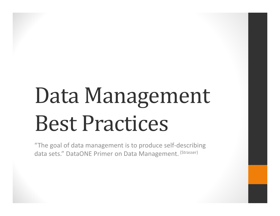# Data Management Best Practices

"The goal of data management is to produce self ‐describing data sets." DataONE Primer on Data Management. <sup>(Strasser)</sup>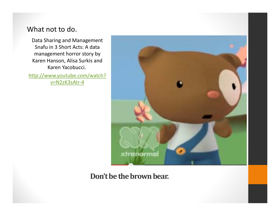#### What not to do.

Data Sharing and Management Snafu in 3 Short Acts: A data management horror story by Karen Hanson, Alisa Surkis and Karen Yacobucci. http://www.youtube.com/watch? v=N2zK3sAtr‐4



#### Don't be the brown bear.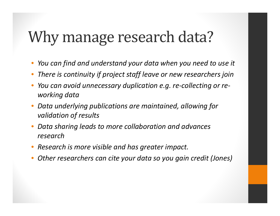### Why manage research data?

- •*You can find and understand your data when you need to use it*
- •*There is continuity if project staff leave or new researchers join*
- • *You can avoid unnecessary duplication e.g. re ‐collecting or re ‐ working data*
- • *Data underlying publications are maintained, allowing for validation of results*
- • *Data sharing leads to more collaboration and advances research*
- •*Research is more visible and has greater impact.*
- •*Other researchers can cite your data so you gain credit (Jones)*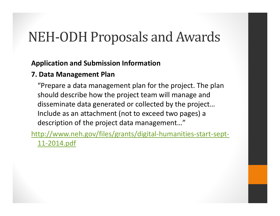#### NEH-ODH Proposals and Awards

#### **Application and Submission Information**

#### **7. Data Management Plan**

"Prepare a data management plan for the project. The plan should describe how the project team will manage and disseminate data generated or collected by the project… Include as an attachment (not to exceed two pages) a description of the project data management…"

http://www.neh.gov/files/grants/digital ‐humanities ‐start ‐sept ‐ 11 ‐2014.pdf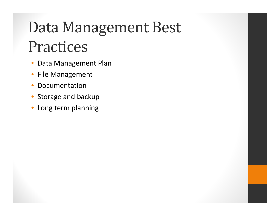# Data Management Best Practices

- $\bullet$ Data Management Plan
- $\bullet$ **•** File Management
- $\bullet$ **• Documentation**
- $\bullet$ Storage and backup
- •Long term planning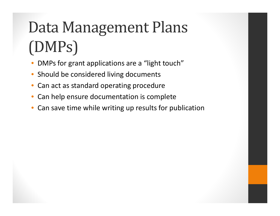# Data Management Plans (DMPs)

- •• DMPs for grant applications are a "light touch"
- •**•** Should be considered living documents
- •Can act as standard operating procedure
- •• Can help ensure documentation is complete
- •Can save time while writing up results for publication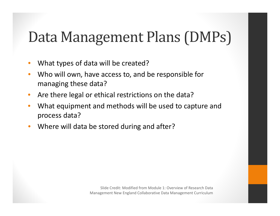#### Data Management Plans (DMPs)

- •What types of data will be created?
- $\bullet$  Who will own, have access to, and be responsible for managing these data?
- $\bullet$ • Are there legal or ethical restrictions on the data?
- • What equipment and methods will be used to capture and process data?
- $\bullet$ • Where will data be stored during and after?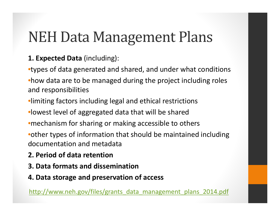#### **NEH Data Management Plans**

#### **1. Expected Data** (including):

- •types of data generated and shared, and under what conditions •how data are to be managed during the project including roles and responsibilities
- •limiting factors including legal and ethical restrictions
- •lowest level of aggregated data that will be shared
- •mechanism for sharing or making accessible to others
- •other types of information that should be maintained including documentation and metadata
- **2. Period of data retention**
- **3. Data formats and dissemination**
- **4. Data storage and preservation of access**

http://www.neh.gov/files/grants\_data\_management\_plans\_2014.pdf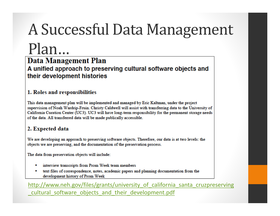# A Successful Data Management

### Plan…

#### **Data Management Plan**

A unified approach to preserving cultural software objects and their development histories

#### 1. Roles and responsibilities

This data management plan will be implemented and managed by Eric Kaltman, under the project supervision of Noah Wardrip-Fruin. Christy Caldwell will assist with transferring data to the University of California Curation Center (UC3). UC3 will have long-term responsibility for the permanent storage needs of the data. All transferred data will be made publically accessible.

#### 2. Expected data

We are developing an approach to preserving software objects. Therefore, our data is at two levels: the objects we are preserving, and the documentation of the preservation process.

The data from preservation objects will include:

- interview transcripts from Prom Week team members
- text files of correspondence, notes, academic papers and planning documentation from the development history of Prom Week

http://www.neh.gov/files/grants/university of california santa cruzpreserving cultural software objects and their development.pdf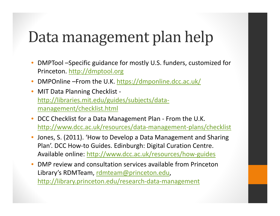### Data management plan help

- • DMPTool –Specific guidance for mostly U.S. funders, customized for Princeton. <u>http://dmptool.org</u>
- •• DMPOnline –From the U.K. https://dmponline.dcc.ac.uk/
- $\bullet$ ● MIT Data Planning Checklist http://libraries.mit.edu/guides/subjects/data ‐ management/checklist.html
- $\bullet$ ● DCC Checklist for a Data Management Plan - From the U.K. http://www.dcc.ac.uk/resources/data ‐management ‐plans/checklist
- • Jones, S. (2011). 'How to Develop a Data Management and Sharing Plan'. DCC How ‐to Guides. Edinburgh: Digital Curation Centre. Available online: http://www.dcc.ac.uk/resources/how-guides
- • DMP review and consultation services available from Princeton Library's RDMTeam, rdmteam@princeton.edu, http://library.princeton.edu/research ‐data ‐management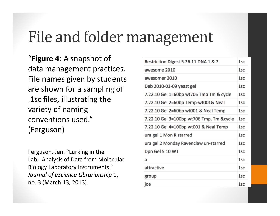### File and folder management

"**Figure 4:** A snapshot of data management practices. File names given by students are shown for a sampling of .1sc files, illustrating the variety of naming conventions used."(Ferguson)

Ferguson, Jen. "Lurking in the Lab: Analysis of Data from Molecular Biology Laboratory Instruments." *Journal of eScience Librarianship* 1, no. 3 (March 13, 2013).

| Restriction Digest 5.26.11 DNA 1 & 2     | 1 <sub>sc</sub> |
|------------------------------------------|-----------------|
| awesome 2010                             | 1sc             |
| awesomer 2010                            | 1sc             |
| Deb 2010-03-09 yeast gel                 | 1sc             |
| 7.22.10 Gel 1=60bp wt706 Tmp Tm & cycle  | 1sc             |
| 7.22.10 Gel 2=60bp Temp-wt001& Neal      | 1sc             |
| 7.22.10 Gel 2=60bp wt001 & Neal Temp     | 1sc             |
| 7.22.10 Gel 3=100bp wt706 Tmp, Tm &cycle | 1sc             |
| 7.22.10 Gel 4=100bp wt001 & Neal Temp    | 1 <sub>sc</sub> |
| ura gel 1 Mon R starred                  | 1sc             |
| ura gel 2 Monday Ravenclaw un-starred    | 1sc             |
| Dpn Gel 5 10 WT                          | 1sc             |
| a                                        | 1sc             |
| attractive                               | 1sc             |
| group                                    | 1sc             |
| joe                                      | 1sc             |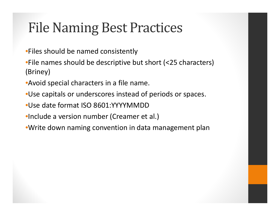#### File Naming Best Practices

- •Files should be named consistently
- •File names should be descriptive but short (<25 characters) (Briney)
- •Avoid special characters in a file name.
- •Use capitals or underscores instead of periods or spaces.
- •Use date format ISO 8601:YYYYMMDD
- •Include a version number (Creamer et al.)
- •Write down naming convention in data management plan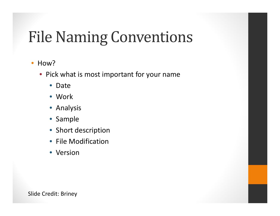## **File Naming Conventions**

#### $\bullet$ • How?

- Pick what is most important for your name
	- Date
	- Work
	- Analysis
	- Sample
	- Short description
	- File Modification
	- Version

Slide Credit: Briney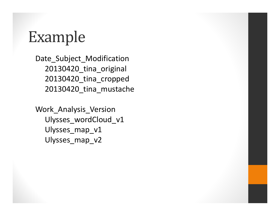#### Example

Date\_Subject\_Modification 20130420\_tina\_original 20130420\_tina\_cropped 20130420\_tina\_mustache

Work\_Analysis\_Version Ulysses\_wordCloud\_v1 Ulysses map v1 Ulysses\_map\_v2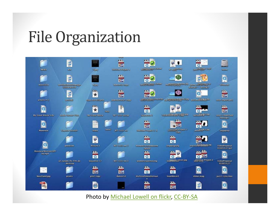#### File Organization



Photo by Michael Lowell on flickr, CC‐BY‐SA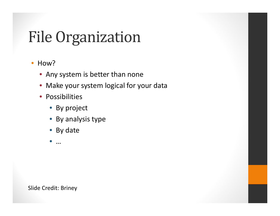## File Organization

#### $\bullet$ • How?

- Any system is better than none
- Make your system logical for your data
- Possibilities
	- By project
	- By analysis type
	- By date
	- •…

Slide Credit: Briney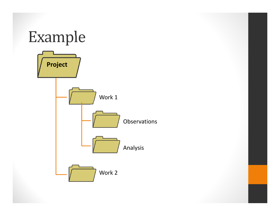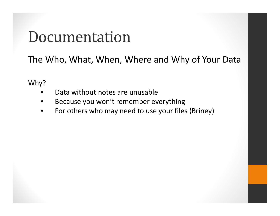#### Documentation

The Who, What, When, Where and Why of Your Data

Why?

- •Data without notes are unusable
- •• Because you won't remember everything
- •For others who may need to use your files (Briney)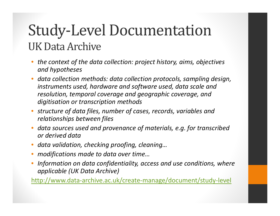#### Study-Level Documentation UK Data Archive

- • *the context of the data collection: project history, aims, objectives and hypotheses*
- • *data collection methods: data collection protocols, sampling design, instruments used, hardware and software used, data scale and resolution, temporal coverage and geographic coverage, and digitisation or transcription methods*
- • *structure of data files, number of cases, records, variables and relationships between files*
- • *data sources used and provenance of materials, e.g. for transcribed or derived data*
- •*data validation, checking proofing, cleaning…*
- •*modifications made to data over time…*
- • *Information on data confidentiality, access and use conditions, where applicable (UK Data Archive)*

http://www.data ‐archive.ac.uk/create ‐manage/document/study ‐level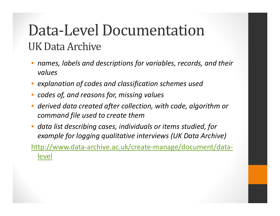#### Data-Level Documentation UK Data Archive

- • *names, labels and descriptions for variables, records, and their values*
- •*explanation of codes and classification schemes used*
- •*codes of, and reasons for, missing values*
- • *derived data created after collection, with code, algorithm or command file used to create them*
- • *data list describing cases, individuals or items studied, for example for logging qualitative interviews (UK Data Archive)*

http://www.data ‐archive.ac.uk/create ‐manage/document/data ‐ level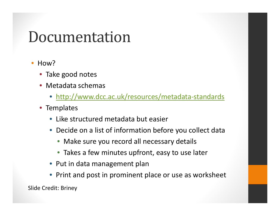#### Documentation

- $\bullet$ How?
	- Take good notes
	- Metadata schemas
		- http://www.dcc.ac.uk/resources/metadata ‐standards
	- Templates
		- Like structured metadata but easier
		- Decide on a list of information before you collect data
			- Make sure you record all necessary details
			- Takes a few minutes upfront, easy to use later
		- Put in data management plan
		- Print and post in prominent place or use as worksheet

Slide Credit: Briney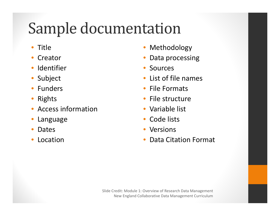## Sample documentation

- $\bullet$ **Title**
- •Creator
- •Identifier
- •Subject
- $\bullet$ Funders
- •Rights
- $\bullet$ Access information
- •Language
- •Dates
- •Location
- •Methodology
- •• Data processing
- •• Sources
- •List of file names
- •**• File Formats**
- •• File structure
- Variable list
- •• Code lists
- •Versions
- •Data Citation Format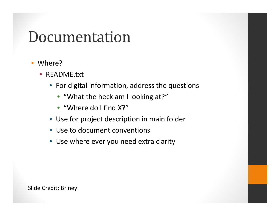#### Documentation

- $\bullet$  Where?
	- README.txt
		- For digital information, address the questions
			- "What the heck am I looking at?"
			- "Where do I find X?"
		- Use for project description in main folder
		- Use to document conventions
		- Use where ever you need extra clarity

Slide Credit: Briney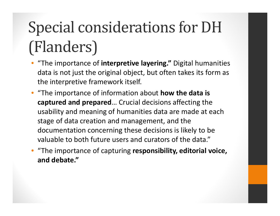# Special considerations for DH (Flanders)

- • "The importance of **interpretive layering."** Digital humanities data is not just the original object, but often takes its form as the interpretive framework itself.
- "The importance of information about **how the data is captured and prepared** … Crucial decisions affecting the usability and meaning of humanities data are made at each stage of data creation and management, and the documentation concerning these decisions is likely to be valuable to both future users and curators of the data."
- • "The importance of capturing **responsibility, editorial voice, and debate."**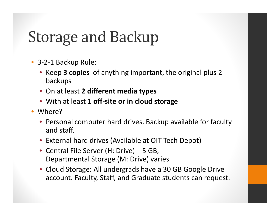### Storage and Backup

- 3-2-1 Backup Rule:
	- Keep **3 copies** of anything important, the original plus 2 backups
	- On at least **2 different media types**
	- With at least **1 off ‐site or in cloud storage**
- Where?
	- Personal computer hard drives. Backup available for faculty and staff.
	- External hard drives (Available at OIT Tech Depot)
	- Central File Server (H: Drive) 5 GB, Departmental Storage (M: Drive) varies
	- Cloud Storage: All undergrads have a 30 GB Google Drive account. Faculty, Staff, and Graduate students can request.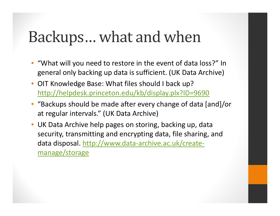#### Backups... what and when

- • "What will you need to restore in the event of data loss?" In general only backing up data is sufficient. (UK Data Archive)
- • OIT Knowledge Base: What files should I back up? http://helpdesk.princeton.edu/kb/display.plx?ID=9690
- • "Backups should be made after every change of data [and]/or at regular intervals." (UK Data Archive)
- • UK Data Archive help pages on storing, backing up, data security, transmitting and encrypting data, file sharing, and data disposal. http://www.data ‐archive.ac.uk/create ‐ manage/storage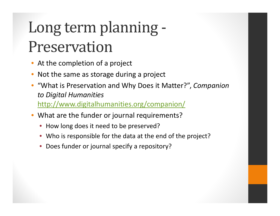# Long term planning -Preservation

- •• At the completion of a project
- •• Not the same as storage during a project
- • "What is Preservation and Why Does it Matter?", *Companion to Digital Humanities* http://www.digitalhumanities.org/companion/
- • What are the funder or journal requirements?
	- How long does it need to be preserved?
	- Who is responsible for the data at the end of the project?
	- Does funder or journal specify a repository?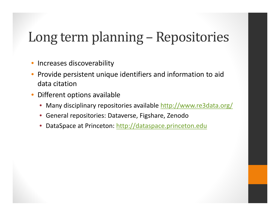#### Long term planning – Repositories

- •• Increases discoverability
- •• Provide persistent unique identifiers and information to aid data citation
- • Different options available
	- $\bullet$ Many disciplinary repositories available http://www.re3data.org/
	- $\bullet$ General repositories: Dataverse, Figshare, Zenodo
	- •DataSpace at Princeton: http://dataspace.princeton.edu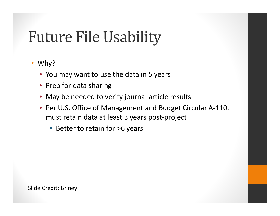### **Future File Usability**

#### • Why?

- You may want to use the data in 5 years
- Prep for data sharing
- May be needed to verify journal article results
- Per U.S. Office of Management and Budget Circular A-110, must retain data at least 3 years post ‐project
	- Better to retain for >6 years

Slide Credit: Briney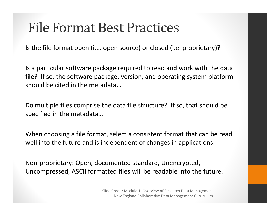#### File Format Best Practices

Is the file format open (i.e. open source) or closed (i.e. proprietary)?

Is a particular software package required to read and work with the data file? If so, the software package, version, and operating system platform should be cited in the metadata…

Do multiple files comprise the data file structure? If so, that should be specified in the metadata…

When choosing a file format, select a consistent format that can be read well into the future and is independent of changes in applications.

Non ‐proprietary: Open, documented standard, Unencrypted, Uncompressed, ASCII formatted files will be readable into the future.

> Slide Credit: Module 1: Overview of Research Data Management New England Collaborative Data Management Curriculum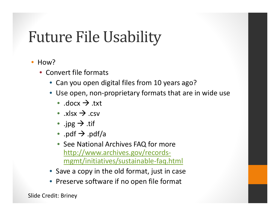### **Future File Usability**

- $\bullet$ How?
	- Convert file formats
		- Can you open digital files from 10 years ago?
		- Use open, non-proprietary formats that are in wide use
			- .docx  $\rightarrow$  .txt
			- .xlsx  $\rightarrow$  .csv
			- .jpg  $\rightarrow$  .tif
			- $\bullet\,$  .pdf  $\rightarrow$  .pdf/a
			- See National Archives FAQ for more http://www.archives.gov/records ‐ mgmt/initiatives/sustainable ‐faq.html
		- Save a copy in the old format, just in case
		- Preserve software if no open file format

Slide Credit: Briney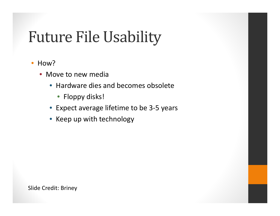## **Future File Usability**

- $\bullet$ • How?
	- Move to new media
		- Hardware dies and becomes obsolete
			- Floppy disks!
		- Expect average lifetime to be 3 ‐ 5 years
		- Keep up with technology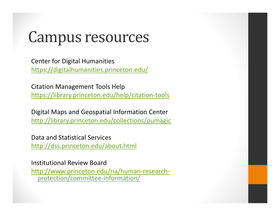#### Campus resources

Center for Digital Humanities https://digitalhumanities.princeton.edu/

Citation Management Tools Help https://library.princeton.edu/help/citation ‐tools

Digital Maps and Geospatial Information Center http://library.princeton.edu/collections/pumagic

Data and Statistical Services http://dss.princeton.edu/about.html

Institutional Review Board http://www.princeton.edu/ria/human ‐research ‐ protection/committee ‐information/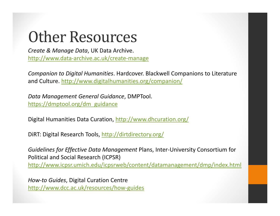### **Other Resources**

*Create & Manage Data*, UK Data Archive. http://www.data‐archive.ac.uk/create‐manage

*Companion to Digital Humanities*. Hardcover. Blackwell Companions to Literature and Culture. http://www.digitalhumanities.org/companion/

*Data Management General Guidance*, DMPTool. https://dmptool.org/dm\_guidance

Digital Humanities Data Curation, http://www.dhcuration.org/

DiRT: Digital Research Tools, http://dirtdirectory.org/

*Guidelines for Effective Data Management* Plans, Inter‐University Consortium for Political and Social Research (ICPSR) http://www.icpsr.umich.edu/icpsrweb/content/datamanagement/dmp/index.html

*How‐to Guides*, Digital Curation Centre http://www.dcc.ac.uk/resources/how‐guides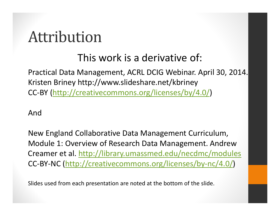#### Attribution

#### This work is a derivative of:

Practical Data Management, ACRL DCIG Webinar. April 30, 2014. Kristen Briney http://www.slideshare.net/kbriney CC‐BY (http://creativecommons.org/licenses/by/4.0/)

And

New England Collaborative Data Management Curriculum, Module 1: Overview of Research Data Management. Andrew Creamer et al. http://library.umassmed.edu/necdmc/modules CC‐BY‐NC (http://creativecommons.org/licenses/by‐nc/4.0/)

Slides used from each presentation are noted at the bottom of the slide.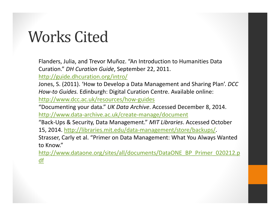### Works Cited

Flanders, Julia, and Trevor Muñoz. "An Introduction to Humanities Data Curation." *DH Curation Guide*, September 22, 2011.

http://guide.dhcuration.org/intro/

Jones, S. (2011). 'How to Develop <sup>a</sup> Data Management and Sharing Plan'. *DCC How‐to Guides.* Edinburgh: Digital Curation Centre. Available online: http://www.dcc.ac.uk/resources/how‐guides

"Documenting your data." *UK Data Archive*. Accessed December 8, 2014. http://www.data‐archive.ac.uk/create‐manage/document

"Back‐Ups & Security, Data Management." *MIT Libraries*. Accessed October 15, 2014. http://libraries.mit.edu/data‐management/store/backups/.

Strasser, Carly et al. "Primer on Data Management: What You Always Wanted to Know."

http://www.dataone.org/sites/all/documents/DataONE\_BP\_Primer\_020212.p df